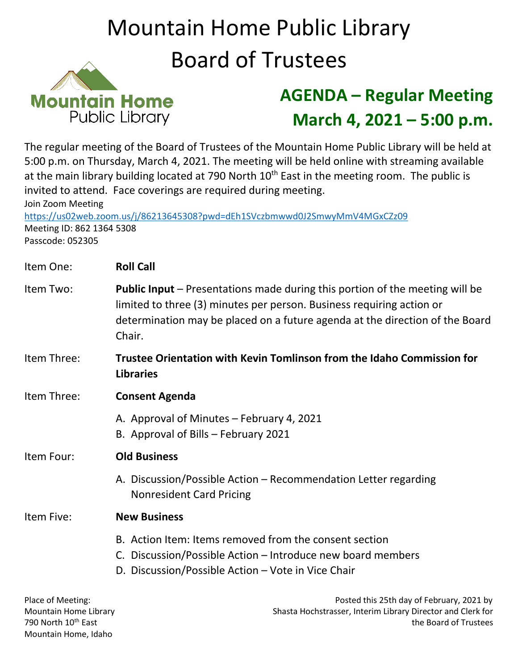## Mountain Home Public Library Board of Trustees



## **AGENDA – Regular Meeting March 4, 2021 – 5:00 p.m.**

The regular meeting of the Board of Trustees of the Mountain Home Public Library will be held at 5:00 p.m. on Thursday, March 4, 2021. The meeting will be held online with streaming available at the main library building located at 790 North  $10<sup>th</sup>$  East in the meeting room. The public is invited to attend. Face coverings are required during meeting. Join Zoom Meeting

<https://us02web.zoom.us/j/86213645308?pwd=dEh1SVczbmwwd0J2SmwyMmV4MGxCZz09> Meeting ID: 862 1364 5308 Passcode: 052305

| Item One:   | <b>Roll Call</b>                                                                                                                                                                                                                                       |
|-------------|--------------------------------------------------------------------------------------------------------------------------------------------------------------------------------------------------------------------------------------------------------|
| Item Two:   | <b>Public Input</b> – Presentations made during this portion of the meeting will be<br>limited to three (3) minutes per person. Business requiring action or<br>determination may be placed on a future agenda at the direction of the Board<br>Chair. |
| Item Three: | Trustee Orientation with Kevin Tomlinson from the Idaho Commission for<br><b>Libraries</b>                                                                                                                                                             |
| Item Three: | <b>Consent Agenda</b>                                                                                                                                                                                                                                  |
|             | A. Approval of Minutes - February 4, 2021<br>B. Approval of Bills - February 2021                                                                                                                                                                      |
| Item Four:  | <b>Old Business</b>                                                                                                                                                                                                                                    |
|             | A. Discussion/Possible Action - Recommendation Letter regarding<br><b>Nonresident Card Pricing</b>                                                                                                                                                     |
| Item Five:  | <b>New Business</b>                                                                                                                                                                                                                                    |
|             | B. Action Item: Items removed from the consent section<br>C. Discussion/Possible Action – Introduce new board members<br>D. Discussion/Possible Action – Vote in Vice Chair                                                                            |

Place of Meeting: Phase of Meeting: Posted this 25th day of February, 2021 by Mountain Home Library Shasta Hochstrasser, Interim Library Director and Clerk for 790 North 10th East the Board of Trustees